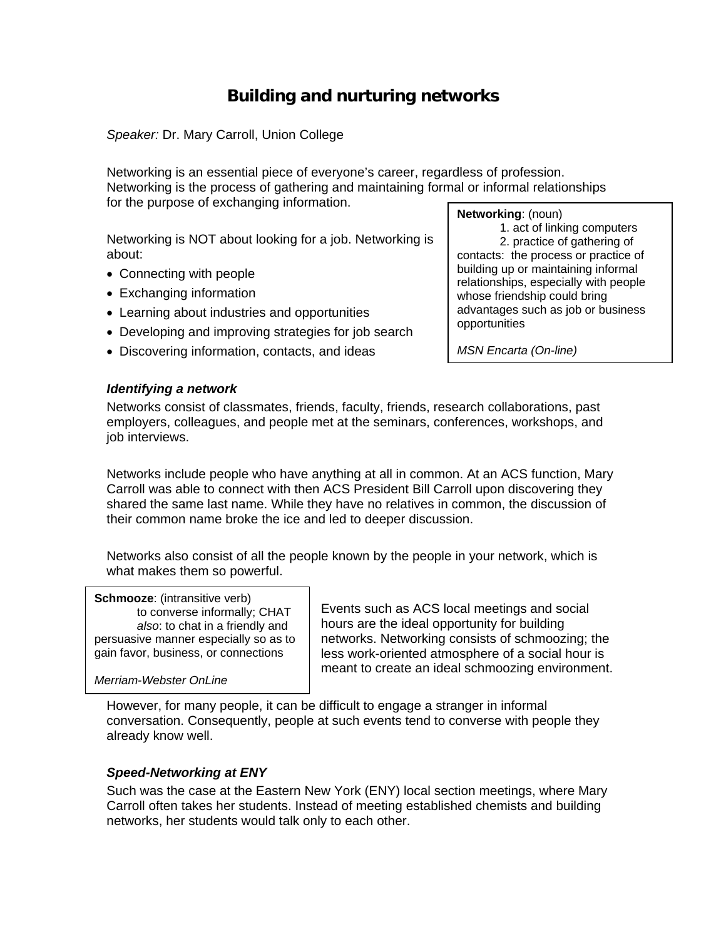# **Building and nurturing networks**

*Speaker:* Dr. Mary Carroll, Union College

Networking is an essential piece of everyone's career, regardless of profession. Networking is the process of gathering and maintaining formal or informal relationships for the purpose of exchanging information.

Networking is NOT about looking for a job. Networking is about:

- Connecting with people
- Exchanging information
- Learning about industries and opportunities
- Developing and improving strategies for job search
- Discovering information, contacts, and ideas

# **Networking**: (noun)

 1. act of linking computers 2. practice of gathering of contacts: the process or practice of building up or maintaining informal relationships, especially with people whose friendship could bring advantages such as job or business opportunities

*MSN Encarta (On-line)* 

### *Identifying a network*

Networks consist of classmates, friends, faculty, friends, research collaborations, past employers, colleagues, and people met at the seminars, conferences, workshops, and job interviews.

Networks include people who have anything at all in common. At an ACS function, Mary Carroll was able to connect with then ACS President Bill Carroll upon discovering they shared the same last name. While they have no relatives in common, the discussion of their common name broke the ice and led to deeper discussion.

Networks also consist of all the people known by the people in your network, which is what makes them so powerful.

#### **Schmooze:** (intransitive verb)

to converse informally; CHAT *also*: to chat in a friendly and persuasive manner especially so as to gain favor, business, or connections

*Merriam-Webster OnLine*

Events such as ACS local meetings and social hours are the ideal opportunity for building networks. Networking consists of schmoozing; the less work-oriented atmosphere of a social hour is meant to create an ideal schmoozing environment.

However, for many people, it can be difficult to engage a stranger in informal conversation. Consequently, people at such events tend to converse with people they already know well.

### *Speed-Networking at ENY*

Such was the case at the Eastern New York (ENY) local section meetings, where Mary Carroll often takes her students. Instead of meeting established chemists and building networks, her students would talk only to each other.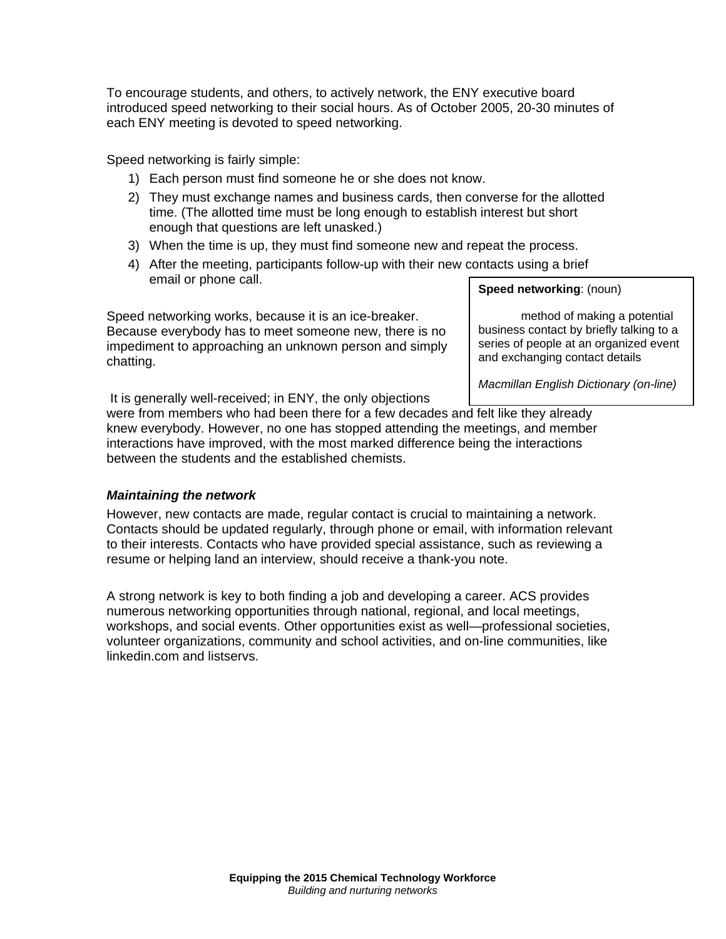To encourage students, and others, to actively network, the ENY executive board introduced speed networking to their social hours. As of October 2005, 20-30 minutes of each ENY meeting is devoted to speed networking.

Speed networking is fairly simple:

- 1) Each person must find someone he or she does not know.
- 2) They must exchange names and business cards, then converse for the allotted time. (The allotted time must be long enough to establish interest but short enough that questions are left unasked.)
- 3) When the time is up, they must find someone new and repeat the process.
- 4) After the meeting, participants follow-up with their new contacts using a brief email or phone call.

Speed networking works, because it is an ice-breaker. Because everybody has to meet someone new, there is no impediment to approaching an unknown person and simply chatting.

**Speed networking**: (noun)

method of making a potential business contact by briefly talking to a series of people at an organized event and exchanging contact details

*Macmillan English Dictionary (on-line)*

It is generally well-received; in ENY, the only objections

were from members who had been there for a few decades and felt like they already knew everybody. However, no one has stopped attending the meetings, and member interactions have improved, with the most marked difference being the interactions between the students and the established chemists.

# *Maintaining the network*

However, new contacts are made, regular contact is crucial to maintaining a network. Contacts should be updated regularly, through phone or email, with information relevant to their interests. Contacts who have provided special assistance, such as reviewing a resume or helping land an interview, should receive a thank-you note.

A strong network is key to both finding a job and developing a career. ACS provides numerous networking opportunities through national, regional, and local meetings, workshops, and social events. Other opportunities exist as well—professional societies, volunteer organizations, community and school activities, and on-line communities, like linkedin.com and listservs.